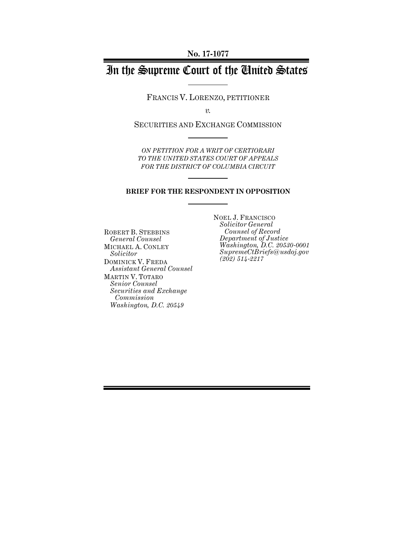# In the Supreme Court of the United States

FRANCIS V. LORENZO, PETITIONER

*v.*

SECURITIES AND EXCHANGE COMMISSION

*ON PETITION FOR A WRIT OF CERTIORARI TO THE UNITED STATES COURT OF APPEALS FOR THE DISTRICT OF COLUMBIA CIRCUIT*

#### **BRIEF FOR THE RESPONDENT IN OPPOSITION**

ROBERT B. STEBBINS *General Counsel* MICHAEL A. CONLEY *Solicitor* DOMINICK V. FREDA *Assistant General Counsel* MARTIN V. TOTARO *Senior Counsel Securities and Exchange Commission Washington, D.C. 20549*

NOEL J. FRANCISCO *Solicitor General Counsel of Record Department of Justice Washington, D.C. 20530-0001 SupremeCtBriefs@usdoj.gov (202) 514-2217*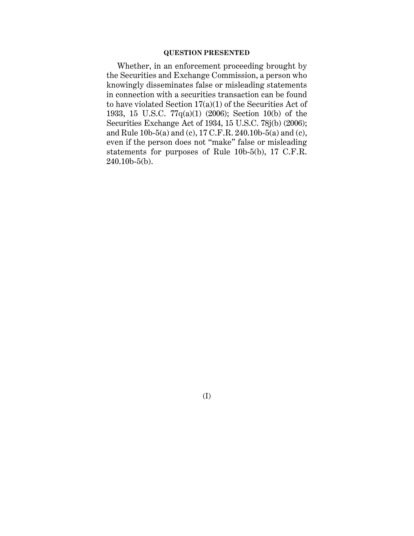### **QUESTION PRESENTED**

Whether, in an enforcement proceeding brought by the Securities and Exchange Commission, a person who knowingly disseminates false or misleading statements in connection with a securities transaction can be found to have violated Section 17(a)(1) of the Securities Act of 1933, 15 U.S.C. 77q(a)(1) (2006); Section 10(b) of the Securities Exchange Act of 1934, 15 U.S.C. 78j(b) (2006); and Rule 10b-5(a) and (c), 17 C.F.R. 240.10b-5(a) and (c), even if the person does not "make" false or misleading statements for purposes of Rule 10b-5(b), 17 C.F.R.  $240.10<sub>b-5(b)</sub>$ .

(I)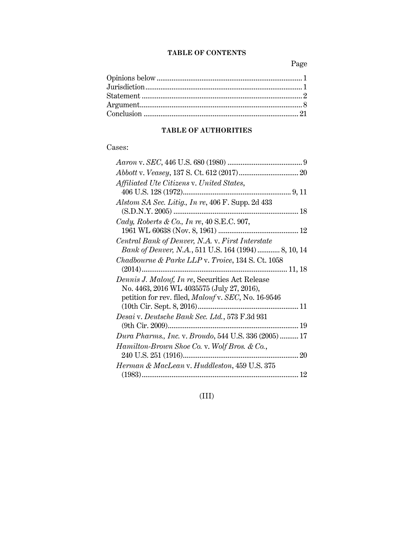### **TABLE OF CONTENTS**

Page

# **TABLE OF AUTHORITIES**

### Cases:

| Affiliated Ute Citizens v. United States,                    |
|--------------------------------------------------------------|
|                                                              |
| Alstom SA Sec. Litig., In re, 406 F. Supp. 2d 433            |
|                                                              |
| Cady, Roberts & Co., In re, $40$ S.E.C. 907,                 |
|                                                              |
| Central Bank of Denver, N.A. v. First Interstate             |
| Bank of Denver, N.A., 511 U.S. 164 (1994)  8, 10, 14         |
| <i>Chadbourne &amp; Parke LLP v. Troice,</i> 134 S. Ct. 1058 |
|                                                              |
| Dennis J. Malouf, In re, Securities Act Release              |
| No. 4463, 2016 WL 4035575 (July 27, 2016),                   |
| petition for rev. filed, Malouf v. SEC, No. 16-9546          |
| $(10th$ Cir. Sept. 8, 2016)                                  |
| Desai v. Deutsche Bank Sec. Ltd., 573 F.3d 931               |
|                                                              |
| Dura Pharms., Inc. v. Broudo, 544 U.S. 336 (2005)  17        |
| Hamilton-Brown Shoe Co. v. Wolf Bros. & Co.,                 |
|                                                              |
| Herman & MacLean v. Huddleston, 459 U.S. 375                 |
|                                                              |

(III)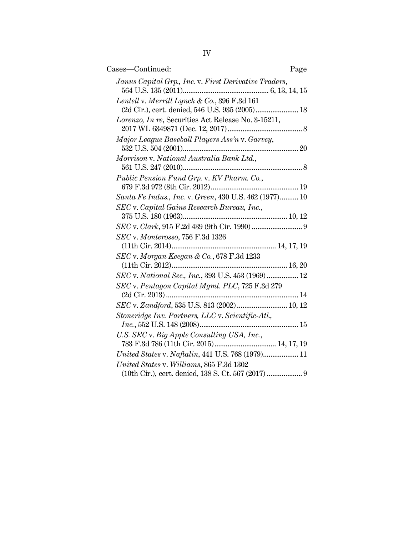| Cases—Continued:                                                                                | Page |
|-------------------------------------------------------------------------------------------------|------|
| Janus Capital Grp., Inc. v. First Derivative Traders,                                           |      |
| Lentell v. Merrill Lynch & Co., 396 F.3d 161<br>(2d Cir.), cert. denied, 546 U.S. 935 (2005) 18 |      |
| Lorenzo, In re, Securities Act Release No. 3-15211,                                             |      |
| Major League Baseball Players Ass'n v. Garvey,                                                  |      |
| Morrison v. National Australia Bank Ltd.,                                                       |      |
| Public Pension Fund Grp. v. KV Pharm. Co.,                                                      |      |
| Santa Fe Indus., Inc. v. Green, 430 U.S. 462 (1977) 10                                          |      |
| SEC v. Capital Gains Research Bureau, Inc.,                                                     |      |
|                                                                                                 |      |
| SEC v. Monterosso, 756 F.3d 1326                                                                |      |
| $SEC$ v. Morgan Keegan & Co., 678 F.3d 1233                                                     |      |
| SEC v. National Sec., Inc., 393 U.S. 453 (1969) 12                                              |      |
| SEC v. Pentagon Capital Mgmt. PLC, 725 F.3d 279                                                 |      |
|                                                                                                 |      |
| SEC v. Zandford, 535 U.S. 813 (2002)  10, 12                                                    |      |
| Stoneridge Inv. Partners, LLC v. Scientific-Atl.,                                               |      |
| U.S. SEC v. Big Apple Consulting USA, Inc.,<br>783 F.3d 786 (11th Cir. 2015) 14, 17, 19         |      |
| United States v. Naftalin, 441 U.S. 768 (1979) 11                                               |      |
| United States v. Williams, 865 F.3d 1302                                                        |      |
| (10th Cir.), cert. denied, 138 S. Ct. 567 (2017)  9                                             |      |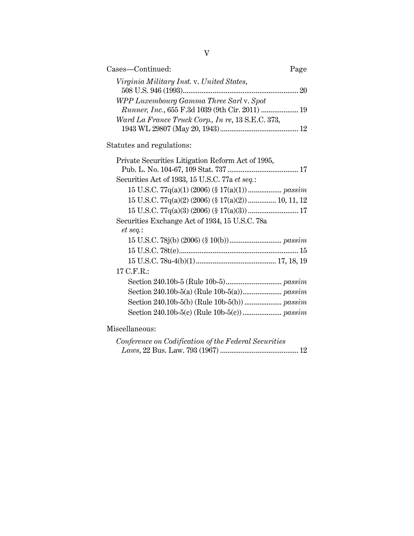| Cases-Continued:                                                                           | Page |
|--------------------------------------------------------------------------------------------|------|
| Virginia Military Inst. v. United States,                                                  | 20   |
| WPP Luxembourg Gamma Three Sarl v. Spot<br>Runner, Inc., 655 F.3d 1039 (9th Cir. 2011)  19 |      |
| Ward La France Truck Corp., In re, 13 S.E.C. 373,                                          |      |

Statutes and regulations:

| Private Securities Litigation Reform Act of 1995,          |
|------------------------------------------------------------|
|                                                            |
| Securities Act of 1933, 15 U.S.C. 77a et seq.:             |
|                                                            |
| $15$ U.S.C. $77q(a)(2)$ (2006) (§ $17(a)(2)$ )  10, 11, 12 |
|                                                            |
| Securities Exchange Act of 1934, 15 U.S.C. 78a             |
| et seq.                                                    |
|                                                            |
|                                                            |
|                                                            |
| 17 C.F.R.:                                                 |
|                                                            |
|                                                            |
|                                                            |
|                                                            |
|                                                            |
|                                                            |

# Miscellaneous:

| Conference on Codification of the Federal Securities |  |
|------------------------------------------------------|--|
|                                                      |  |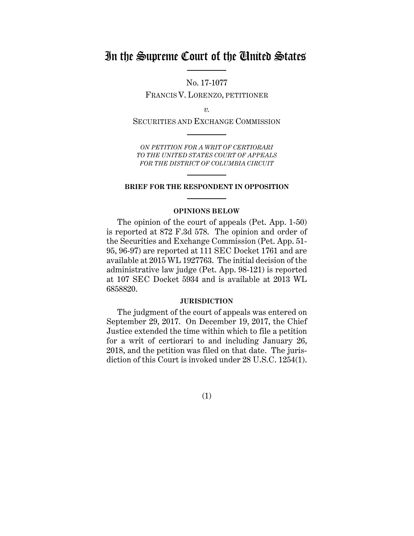# In the Supreme Court of the United States

No. 17-1077 FRANCIS V. LORENZO, PETITIONER

*v.*

SECURITIES AND EXCHANGE COMMISSION

*ON PETITION FOR A WRIT OF CERTIORARI TO THE UNITED STATES COURT OF APPEALS FOR THE DISTRICT OF COLUMBIA CIRCUIT*

#### **BRIEF FOR THE RESPONDENT IN OPPOSITION**

#### **OPINIONS BELOW**

The opinion of the court of appeals (Pet. App. 1-50) is reported at 872 F.3d 578. The opinion and order of the Securities and Exchange Commission (Pet. App. 51- 95, 96-97) are reported at 111 SEC Docket 1761 and are available at 2015 WL 1927763. The initial decision of the administrative law judge (Pet. App. 98-121) is reported at 107 SEC Docket 5934 and is available at 2013 WL 6858820.

#### **JURISDICTION**

The judgment of the court of appeals was entered on September 29, 2017. On December 19, 2017, the Chief Justice extended the time within which to file a petition for a writ of certiorari to and including January 26, 2018, and the petition was filed on that date. The jurisdiction of this Court is invoked under 28 U.S.C. 1254(1).

(1)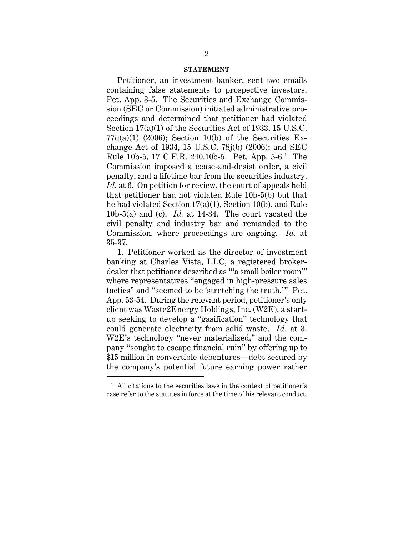#### **STATEMENT**

Petitioner, an investment banker, sent two emails containing false statements to prospective investors. Pet. App. 3-5. The Securities and Exchange Commission (SEC or Commission) initiated administrative proceedings and determined that petitioner had violated Section 17(a)(1) of the Securities Act of 1933, 15 U.S.C.  $77q(a)(1)$  (2006); Section 10(b) of the Securities Exchange Act of 1934, 15 U.S.C. 78j(b) (2006); and SEC Rule 10b-5, 17 C.F.R. 240.10b-5. Pet. App. 5-6.1 The Commission imposed a cease-and-desist order, a civil penalty, and a lifetime bar from the securities industry. *Id.* at 6. On petition for review, the court of appeals held that petitioner had not violated Rule 10b-5(b) but that he had violated Section 17(a)(1), Section 10(b), and Rule 10b-5(a) and (c). *Id.* at 14-34. The court vacated the civil penalty and industry bar and remanded to the Commission, where proceedings are ongoing. *Id.* at 35-37.

1. Petitioner worked as the director of investment banking at Charles Vista, LLC, a registered brokerdealer that petitioner described as "'a small boiler room'" where representatives "engaged in high-pressure sales tactics" and "seemed to be 'stretching the truth.'" Pet. App. 53-54. During the relevant period, petitioner's only client was Waste2Energy Holdings, Inc. (W2E), a startup seeking to develop a "gasification" technology that could generate electricity from solid waste. *Id.* at 3. W2E's technology "never materialized," and the company "sought to escape financial ruin" by offering up to \$15 million in convertible debentures—debt secured by the company's potential future earning power rather

<sup>&</sup>lt;sup>1</sup> All citations to the securities laws in the context of petitioner's case refer to the statutes in force at the time of his relevant conduct.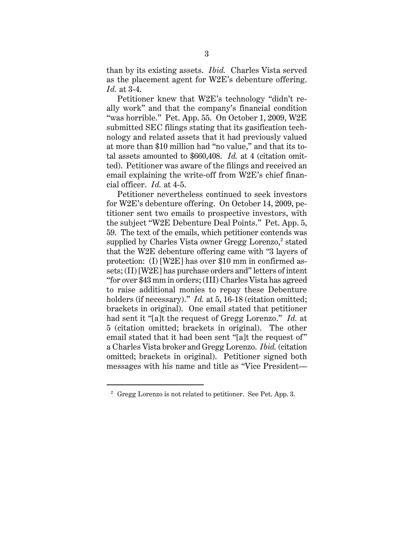than by its existing assets. *Ibid.* Charles Vista served as the placement agent for W2E's debenture offering. *Id.* at 3-4.

Petitioner knew that W2E's technology "didn't really work" and that the company's financial condition "was horrible." Pet. App. 55. On October 1, 2009, W2E submitted SEC filings stating that its gasification technology and related assets that it had previously valued at more than \$10 million had "no value," and that its total assets amounted to \$660,408. *Id.* at 4 (citation omitted). Petitioner was aware of the filings and received an email explaining the write-off from W2E's chief financial officer. *Id.* at 4-5.

Petitioner nevertheless continued to seek investors for W2E's debenture offering. On October 14, 2009, petitioner sent two emails to prospective investors, with the subject "W2E Debenture Deal Points." Pet. App. 5, 59. The text of the emails, which petitioner contends was supplied by Charles Vista owner Gregg Lorenzo, $2$  stated that the W2E debenture offering came with "3 layers of protection: (I) [W2E] has over \$10 mm in confirmed assets; (II) [W2E] has purchase orders and" letters of intent "for over \$43 mm in orders; (III) Charles Vista has agreed to raise additional monies to repay these Debenture holders (if necessary)." *Id.* at 5, 16-18 (citation omitted; brackets in original). One email stated that petitioner had sent it "[a]t the request of Gregg Lorenzo." *Id.* at 5 (citation omitted; brackets in original). The other email stated that it had been sent "[a]t the request of" a Charles Vista broker and Gregg Lorenzo. *Ibid.* (citation omitted; brackets in original). Petitioner signed both messages with his name and title as "Vice President—

<sup>&</sup>lt;sup>2</sup> Gregg Lorenzo is not related to petitioner. See Pet. App. 3.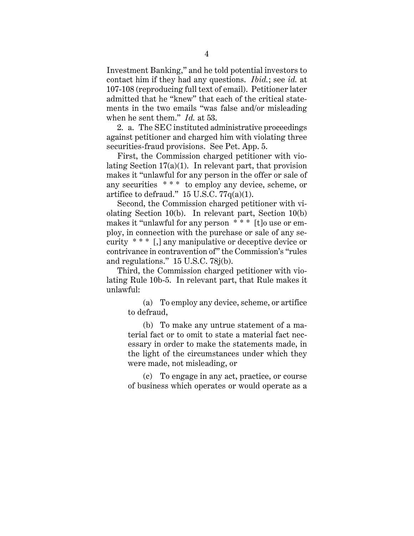Investment Banking," and he told potential investors to contact him if they had any questions. *Ibid.*; see *id.* at 107-108 (reproducing full text of email). Petitioner later admitted that he "knew" that each of the critical statements in the two emails "was false and/or misleading when he sent them." *Id.* at 53.

2. a. The SEC instituted administrative proceedings against petitioner and charged him with violating three securities-fraud provisions. See Pet. App. 5.

First, the Commission charged petitioner with violating Section  $17(a)(1)$ . In relevant part, that provision makes it "unlawful for any person in the offer or sale of any securities \* \* \* to employ any device, scheme, or artifice to defraud."  $15$  U.S.C.  $77q(a)(1)$ .

Second, the Commission charged petitioner with violating Section 10(b). In relevant part, Section 10(b) makes it "unlawful for any person \* \* \* [t]o use or employ, in connection with the purchase or sale of any security \* \* \* [,] any manipulative or deceptive device or contrivance in contravention of" the Commission's "rules and regulations." 15 U.S.C. 78j(b).

Third, the Commission charged petitioner with violating Rule 10b-5. In relevant part, that Rule makes it unlawful:

(a) To employ any device, scheme, or artifice to defraud,

(b) To make any untrue statement of a material fact or to omit to state a material fact necessary in order to make the statements made, in the light of the circumstances under which they were made, not misleading, or

(c) To engage in any act, practice, or course of business which operates or would operate as a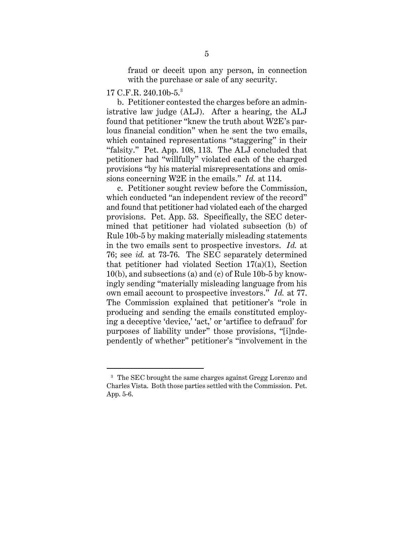fraud or deceit upon any person, in connection with the purchase or sale of any security.

### 17 C.F.R. 240.10b-5.3

 $\overline{a}$ 

b. Petitioner contested the charges before an administrative law judge (ALJ). After a hearing, the ALJ found that petitioner "knew the truth about W2E's parlous financial condition" when he sent the two emails, which contained representations "staggering" in their "falsity." Pet. App. 108, 113. The ALJ concluded that petitioner had "willfully" violated each of the charged provisions "by his material misrepresentations and omissions concerning W2E in the emails." *Id.* at 114.

c. Petitioner sought review before the Commission, which conducted "an independent review of the record" and found that petitioner had violated each of the charged provisions. Pet. App. 53. Specifically, the SEC determined that petitioner had violated subsection (b) of Rule 10b-5 by making materially misleading statements in the two emails sent to prospective investors. *Id.* at 76; see *id.* at 73-76. The SEC separately determined that petitioner had violated Section 17(a)(1), Section 10(b), and subsections (a) and (c) of Rule 10b-5 by knowingly sending "materially misleading language from his own email account to prospective investors." *Id.* at 77. The Commission explained that petitioner's "role in producing and sending the emails constituted employing a deceptive 'device,' 'act,' or 'artifice to defraud' for purposes of liability under" those provisions, "[i]ndependently of whether" petitioner's "involvement in the

<sup>&</sup>lt;sup>3</sup> The SEC brought the same charges against Gregg Lorenzo and Charles Vista. Both those parties settled with the Commission. Pet. App. 5-6.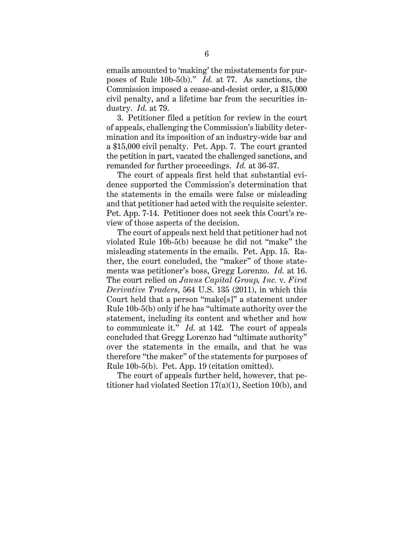emails amounted to 'making' the misstatements for purposes of Rule 10b-5(b)." *Id.* at 77. As sanctions, the Commission imposed a cease-and-desist order, a \$15,000 civil penalty, and a lifetime bar from the securities industry. *Id.* at 79.

3. Petitioner filed a petition for review in the court of appeals, challenging the Commission's liability determination and its imposition of an industry-wide bar and a \$15,000 civil penalty. Pet. App. 7. The court granted the petition in part, vacated the challenged sanctions, and remanded for further proceedings. *Id.* at 36-37.

The court of appeals first held that substantial evidence supported the Commission's determination that the statements in the emails were false or misleading and that petitioner had acted with the requisite scienter. Pet. App. 7-14. Petitioner does not seek this Court's review of those aspects of the decision.

The court of appeals next held that petitioner had not violated Rule 10b-5(b) because he did not "make" the misleading statements in the emails. Pet. App. 15. Rather, the court concluded, the "maker" of those statements was petitioner's boss, Gregg Lorenzo. *Id.* at 16. The court relied on *Janus Capital Group, Inc.* v. *First Derivative Traders*, 564 U.S. 135 (2011), in which this Court held that a person "make[s]" a statement under Rule 10b-5(b) only if he has "ultimate authority over the statement, including its content and whether and how to communicate it." *Id.* at 142. The court of appeals concluded that Gregg Lorenzo had "ultimate authority" over the statements in the emails, and that he was therefore "the maker" of the statements for purposes of Rule 10b-5(b). Pet. App. 19 (citation omitted).

The court of appeals further held, however, that petitioner had violated Section 17(a)(1), Section 10(b), and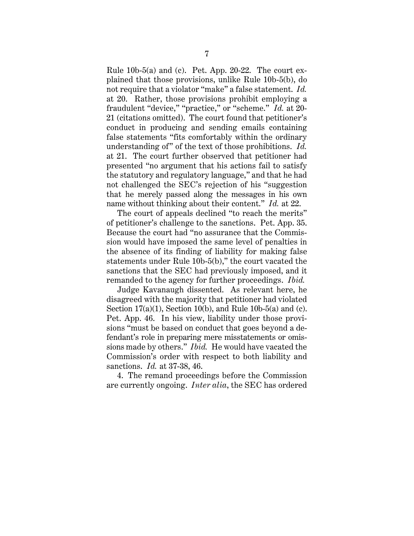Rule 10b-5(a) and (c). Pet. App. 20-22. The court explained that those provisions, unlike Rule 10b-5(b), do not require that a violator "make" a false statement. *Id.* at 20. Rather, those provisions prohibit employing a fraudulent "device," "practice," or "scheme." *Id.* at 20- 21 (citations omitted). The court found that petitioner's conduct in producing and sending emails containing false statements "fits comfortably within the ordinary understanding of" of the text of those prohibitions. *Id.* at 21. The court further observed that petitioner had presented "no argument that his actions fail to satisfy the statutory and regulatory language," and that he had not challenged the SEC's rejection of his "suggestion that he merely passed along the messages in his own name without thinking about their content." *Id.* at 22.

The court of appeals declined "to reach the merits" of petitioner's challenge to the sanctions. Pet. App. 35. Because the court had "no assurance that the Commission would have imposed the same level of penalties in the absence of its finding of liability for making false statements under Rule 10b-5(b)," the court vacated the sanctions that the SEC had previously imposed, and it remanded to the agency for further proceedings. *Ibid.*

Judge Kavanaugh dissented. As relevant here, he disagreed with the majority that petitioner had violated Section  $17(a)(1)$ , Section 10(b), and Rule 10b-5(a) and (c). Pet. App. 46. In his view, liability under those provisions "must be based on conduct that goes beyond a defendant's role in preparing mere misstatements or omissions made by others." *Ibid.* He would have vacated the Commission's order with respect to both liability and sanctions. *Id.* at 37-38, 46.

4. The remand proceedings before the Commission are currently ongoing. *Inter alia*, the SEC has ordered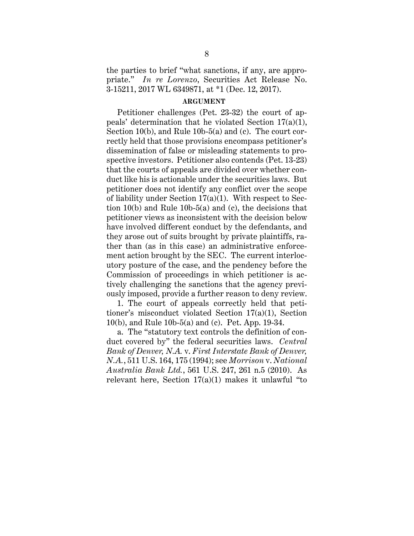the parties to brief "what sanctions, if any, are appropriate." *In re Lorenzo*, Securities Act Release No. 3-15211, 2017 WL 6349871, at \*1 (Dec. 12, 2017).

#### **ARGUMENT**

Petitioner challenges (Pet. 23-32) the court of appeals' determination that he violated Section 17(a)(1), Section 10(b), and Rule 10b-5(a) and (c). The court correctly held that those provisions encompass petitioner's dissemination of false or misleading statements to prospective investors. Petitioner also contends (Pet. 13-23) that the courts of appeals are divided over whether conduct like his is actionable under the securities laws. But petitioner does not identify any conflict over the scope of liability under Section  $17(a)(1)$ . With respect to Section 10(b) and Rule 10b-5(a) and (c), the decisions that petitioner views as inconsistent with the decision below have involved different conduct by the defendants, and they arose out of suits brought by private plaintiffs, rather than (as in this case) an administrative enforcement action brought by the SEC. The current interlocutory posture of the case, and the pendency before the Commission of proceedings in which petitioner is actively challenging the sanctions that the agency previously imposed, provide a further reason to deny review.

1. The court of appeals correctly held that petitioner's misconduct violated Section 17(a)(1), Section 10(b), and Rule 10b-5(a) and (c). Pet. App. 19-34.

a. The "statutory text controls the definition of conduct covered by" the federal securities laws. *Central Bank of Denver, N.A.* v. *First Interstate Bank of Denver, N.A.*, 511 U.S. 164, 175 (1994); see *Morrison* v. *National Australia Bank Ltd.*, 561 U.S. 247, 261 n.5 (2010). As relevant here, Section  $17(a)(1)$  makes it unlawful "to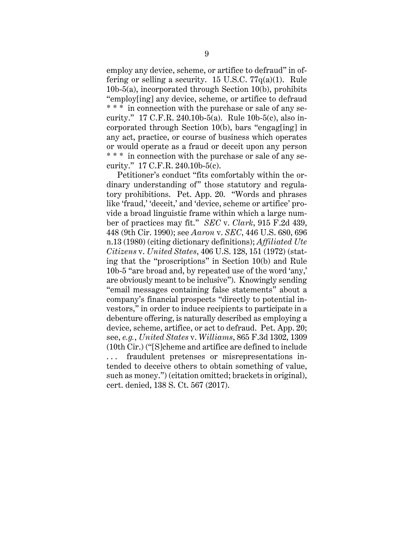employ any device, scheme, or artifice to defraud" in offering or selling a security. 15 U.S.C.  $77q(a)(1)$ . Rule 10b-5(a), incorporated through Section 10(b), prohibits "employ[ing] any device, scheme, or artifice to defraud \* \* \* in connection with the purchase or sale of any security." 17 C.F.R. 240.10b-5(a). Rule 10b-5(c), also incorporated through Section 10(b), bars "engag[ing] in any act, practice, or course of business which operates or would operate as a fraud or deceit upon any person \* \* \* in connection with the purchase or sale of any security." 17 C.F.R. 240.10b-5(c).

Petitioner's conduct "fits comfortably within the ordinary understanding of" those statutory and regulatory prohibitions. Pet. App. 20. "Words and phrases like 'fraud,' 'deceit,' and 'device, scheme or artifice' provide a broad linguistic frame within which a large number of practices may fit." *SEC* v. *Clark*, 915 F.2d 439, 448 (9th Cir. 1990); see *Aaron* v. *SEC*, 446 U.S. 680, 696 n.13 (1980) (citing dictionary definitions); *Affiliated Ute Citizens* v. *United States*, 406 U.S. 128, 151 (1972) (stating that the "proscriptions" in Section 10(b) and Rule 10b-5 "are broad and, by repeated use of the word 'any,' are obviously meant to be inclusive"). Knowingly sending "email messages containing false statements" about a company's financial prospects "directly to potential investors," in order to induce recipients to participate in a debenture offering, is naturally described as employing a device, scheme, artifice, or act to defraud. Pet. App. 20; see, *e.g.*, *United States* v. *Williams*, 865 F.3d 1302, 1309 (10th Cir.) ("[S]cheme and artifice are defined to include . . . fraudulent pretenses or misrepresentations intended to deceive others to obtain something of value, such as money.") (citation omitted; brackets in original), cert. denied, 138 S. Ct. 567 (2017).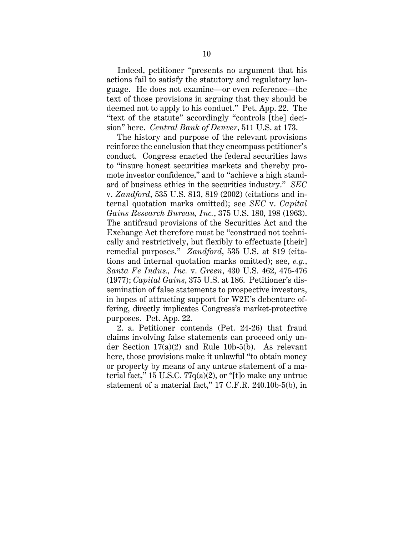Indeed, petitioner "presents no argument that his actions fail to satisfy the statutory and regulatory language. He does not examine—or even reference—the text of those provisions in arguing that they should be deemed not to apply to his conduct." Pet. App. 22. The "text of the statute" accordingly "controls [the] decision" here. *Central Bank of Denver*, 511 U.S. at 173.

The history and purpose of the relevant provisions reinforce the conclusion that they encompass petitioner's conduct. Congress enacted the federal securities laws to "insure honest securities markets and thereby promote investor confidence," and to "achieve a high standard of business ethics in the securities industry." *SEC* v. *Zandford*, 535 U.S. 813, 819 (2002) (citations and internal quotation marks omitted); see *SEC* v. *Capital Gains Research Bureau, Inc.*, 375 U.S. 180, 198 (1963). The antifraud provisions of the Securities Act and the Exchange Act therefore must be "construed not technically and restrictively, but flexibly to effectuate [their] remedial purposes." *Zandford*, 535 U.S. at 819 (citations and internal quotation marks omitted); see, *e.g.*, *Santa Fe Indus., Inc.* v. *Green*, 430 U.S. 462, 475-476 (1977); *Capital Gains*, 375 U.S. at 186. Petitioner's dissemination of false statements to prospective investors, in hopes of attracting support for W2E's debenture offering, directly implicates Congress's market-protective purposes. Pet. App. 22.

2. a. Petitioner contends (Pet. 24-26) that fraud claims involving false statements can proceed only under Section 17(a)(2) and Rule 10b-5(b). As relevant here, those provisions make it unlawful "to obtain money or property by means of any untrue statement of a material fact," 15 U.S.C.  $77q(a)(2)$ , or "[t]o make any untrue statement of a material fact," 17 C.F.R. 240.10b-5(b), in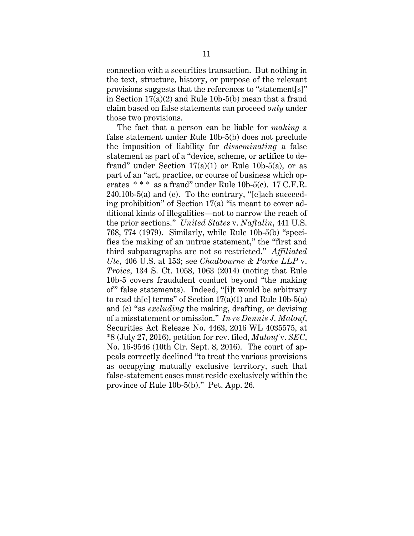connection with a securities transaction. But nothing in the text, structure, history, or purpose of the relevant provisions suggests that the references to "statement[s]" in Section 17(a)(2) and Rule 10b-5(b) mean that a fraud claim based on false statements can proceed *only* under those two provisions.

The fact that a person can be liable for *making* a false statement under Rule 10b-5(b) does not preclude the imposition of liability for *disseminating* a false statement as part of a "device, scheme, or artifice to defraud" under Section  $17(a)(1)$  or Rule 10b-5(a), or as part of an "act, practice, or course of business which operates  $***$  as a fraud" under Rule 10b-5(c). 17 C.F.R.  $240.10<sub>b</sub>$ -5(a) and (c). To the contrary, "[e]ach succeeding prohibition" of Section 17(a) "is meant to cover additional kinds of illegalities—not to narrow the reach of the prior sections." *United States* v. *Naftalin*, 441 U.S. 768, 774 (1979). Similarly, while Rule 10b-5(b) "specifies the making of an untrue statement," the "first and third subparagraphs are not so restricted." *Affiliated Ute*, 406 U.S. at 153; see *Chadbourne & Parke LLP* v. *Troice*, 134 S. Ct. 1058, 1063 (2014) (noting that Rule 10b-5 covers fraudulent conduct beyond "the making of" false statements). Indeed, "[i]t would be arbitrary to read the lterms" of Section  $17(a)(1)$  and Rule 10b-5(a) and (c) "as *excluding* the making, drafting, or devising of a misstatement or omission." *In re Dennis J. Malouf*, Securities Act Release No. 4463, 2016 WL 4035575, at \*8 (July 27, 2016), petition for rev. filed, *Malouf* v. *SEC*, No. 16-9546 (10th Cir. Sept. 8, 2016). The court of appeals correctly declined "to treat the various provisions as occupying mutually exclusive territory, such that false-statement cases must reside exclusively within the province of Rule 10b-5(b)." Pet. App. 26.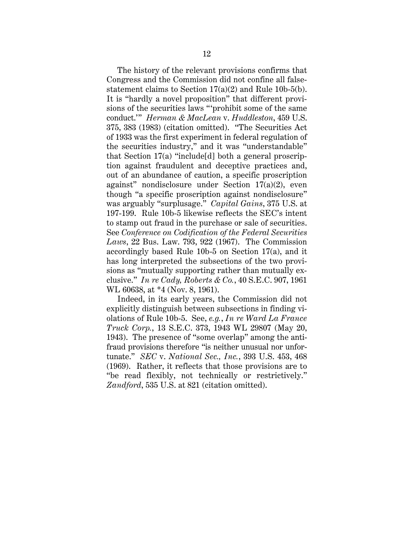The history of the relevant provisions confirms that Congress and the Commission did not confine all falsestatement claims to Section 17(a)(2) and Rule 10b-5(b). It is "hardly a novel proposition" that different provisions of the securities laws "'prohibit some of the same conduct.'" *Herman & MacLean* v. *Huddleston*, 459 U.S. 375, 383 (1983) (citation omitted). "The Securities Act of 1933 was the first experiment in federal regulation of the securities industry," and it was "understandable" that Section 17(a) "include[d] both a general proscription against fraudulent and deceptive practices and, out of an abundance of caution, a specific proscription against" nondisclosure under Section 17(a)(2), even though "a specific proscription against nondisclosure" was arguably "surplusage." *Capital Gains*, 375 U.S. at 197-199. Rule 10b-5 likewise reflects the SEC's intent to stamp out fraud in the purchase or sale of securities. See *Conference on Codification of the Federal Securities Laws*, 22 Bus. Law. 793, 922 (1967). The Commission accordingly based Rule 10b-5 on Section 17(a), and it has long interpreted the subsections of the two provisions as "mutually supporting rather than mutually exclusive." *In re Cady, Roberts & Co.*, 40 S.E.C. 907, 1961 WL 60638, at \*4 (Nov. 8, 1961).

Indeed, in its early years, the Commission did not explicitly distinguish between subsections in finding violations of Rule 10b-5. See, *e.g.*, *In re Ward La France Truck Corp.*, 13 S.E.C. 373, 1943 WL 29807 (May 20, 1943). The presence of "some overlap" among the antifraud provisions therefore "is neither unusual nor unfortunate." *SEC* v. *National Sec., Inc.*, 393 U.S. 453, 468 (1969). Rather, it reflects that those provisions are to "be read flexibly, not technically or restrictively." *Zandford*, 535 U.S. at 821 (citation omitted).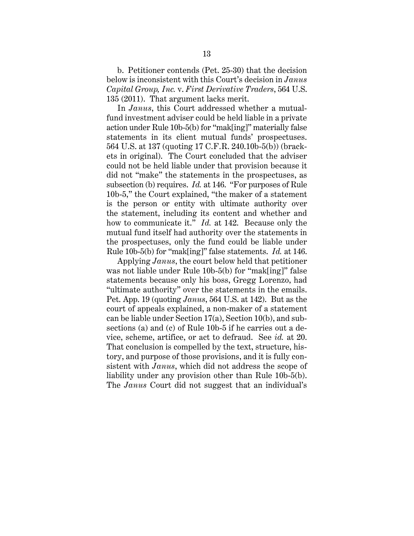b. Petitioner contends (Pet. 25-30) that the decision below is inconsistent with this Court's decision in *Janus Capital Group, Inc.* v. *First Derivative Traders*, 564 U.S. 135 (2011). That argument lacks merit.

In *Janus*, this Court addressed whether a mutualfund investment adviser could be held liable in a private action under Rule 10b-5(b) for "mak[ing]" materially false statements in its client mutual funds' prospectuses. 564 U.S. at 137 (quoting 17 C.F.R. 240.10b-5(b)) (brackets in original). The Court concluded that the adviser could not be held liable under that provision because it did not "make" the statements in the prospectuses, as subsection (b) requires. *Id.* at 146. "For purposes of Rule 10b-5," the Court explained, "the maker of a statement is the person or entity with ultimate authority over the statement, including its content and whether and how to communicate it." *Id.* at 142. Because only the mutual fund itself had authority over the statements in the prospectuses, only the fund could be liable under Rule 10b-5(b) for "mak[ing]" false statements. *Id.* at 146.

Applying *Janus*, the court below held that petitioner was not liable under Rule 10b-5(b) for "mak[ing]" false statements because only his boss, Gregg Lorenzo, had "ultimate authority" over the statements in the emails. Pet. App. 19 (quoting *Janus*, 564 U.S. at 142). But as the court of appeals explained, a non-maker of a statement can be liable under Section 17(a), Section 10(b), and subsections (a) and (c) of Rule 10b-5 if he carries out a device, scheme, artifice, or act to defraud. See *id.* at 20. That conclusion is compelled by the text, structure, history, and purpose of those provisions, and it is fully consistent with *Janus*, which did not address the scope of liability under any provision other than Rule 10b-5(b). The *Janus* Court did not suggest that an individual's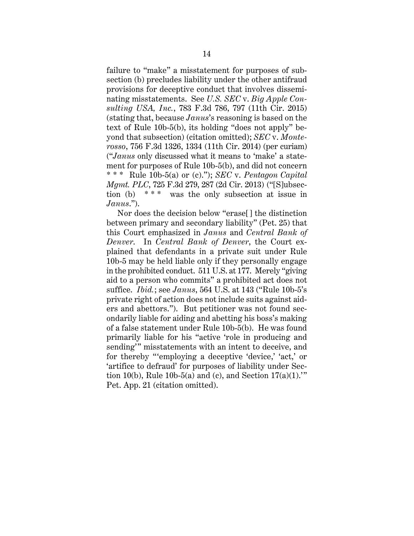failure to "make" a misstatement for purposes of subsection (b) precludes liability under the other antifraud provisions for deceptive conduct that involves disseminating misstatements. See *U.S. SEC* v. *Big Apple Consulting USA, Inc.*, 783 F.3d 786, 797 (11th Cir. 2015) (stating that, because *Janus*'s reasoning is based on the text of Rule 10b-5(b), its holding "does not apply" beyond that subsection) (citation omitted); *SEC* v. *Monterosso*, 756 F.3d 1326, 1334 (11th Cir. 2014) (per curiam) ("*Janus* only discussed what it means to 'make' a statement for purposes of Rule 10b-5(b), and did not concern \* \* \* Rule 10b-5(a) or (c)."); *SEC* v. *Pentagon Capital Mgmt. PLC*, 725 F.3d 279, 287 (2d Cir. 2013) ("[S]ubsection (b)  $***$  was the only subsection at issue in *Janus*.").

Nor does the decision below "erase[] the distinction between primary and secondary liability" (Pet. 25) that this Court emphasized in *Janus* and *Central Bank of Denver*. In *Central Bank of Denver*, the Court explained that defendants in a private suit under Rule 10b-5 may be held liable only if they personally engage in the prohibited conduct. 511 U.S. at 177. Merely "giving aid to a person who commits" a prohibited act does not suffice. *Ibid.*; see *Janus*, 564 U.S. at 143 ("Rule 10b-5's private right of action does not include suits against aiders and abettors."). But petitioner was not found secondarily liable for aiding and abetting his boss's making of a false statement under Rule 10b-5(b). He was found primarily liable for his "active 'role in producing and sending'" misstatements with an intent to deceive, and for thereby "'employing a deceptive 'device,' 'act,' or 'artifice to defraud' for purposes of liability under Section 10(b), Rule 10b-5(a) and (c), and Section  $17(a)(1)$ ." Pet. App. 21 (citation omitted).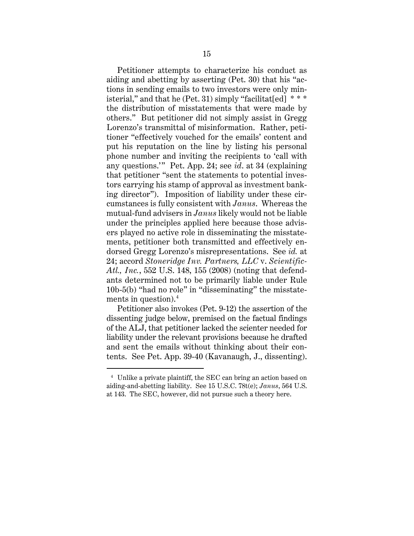Petitioner attempts to characterize his conduct as aiding and abetting by asserting (Pet. 30) that his "actions in sending emails to two investors were only ministerial," and that he (Pet. 31) simply "facilitat[ed]  $***$ the distribution of misstatements that were made by others." But petitioner did not simply assist in Gregg Lorenzo's transmittal of misinformation. Rather, petitioner "effectively vouched for the emails' content and put his reputation on the line by listing his personal phone number and inviting the recipients to 'call with any questions.'" Pet. App. 24; see *id*. at 34 (explaining that petitioner "sent the statements to potential investors carrying his stamp of approval as investment banking director"). Imposition of liability under these circumstances is fully consistent with *Janus*. Whereas the mutual-fund advisers in *Janus* likely would not be liable under the principles applied here because those advisers played no active role in disseminating the misstatements, petitioner both transmitted and effectively endorsed Gregg Lorenzo's misrepresentations. See *id.* at 24; accord *Stoneridge Inv. Partners, LLC* v. *Scientific-Atl., Inc.*, 552 U.S. 148, 155 (2008) (noting that defendants determined not to be primarily liable under Rule 10b-5(b) "had no role" in "disseminating" the misstatements in question).4

Petitioner also invokes (Pet. 9-12) the assertion of the dissenting judge below, premised on the factual findings of the ALJ, that petitioner lacked the scienter needed for liability under the relevant provisions because he drafted and sent the emails without thinking about their contents. See Pet. App. 39-40 (Kavanaugh, J., dissenting).

<sup>4</sup> Unlike a private plaintiff, the SEC can bring an action based on aiding-and-abetting liability. See 15 U.S.C. 78t(e); *Janus*, 564 U.S. at 143. The SEC, however, did not pursue such a theory here.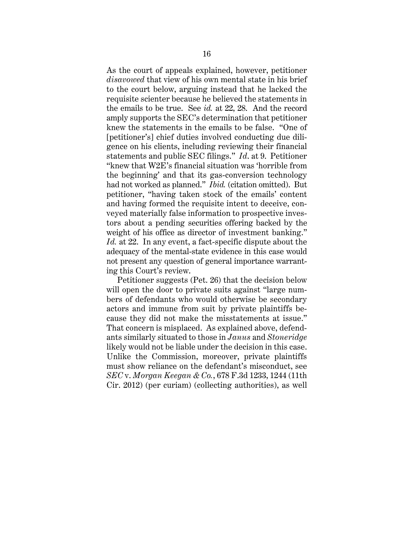As the court of appeals explained, however, petitioner *disavowed* that view of his own mental state in his brief to the court below, arguing instead that he lacked the requisite scienter because he believed the statements in the emails to be true. See *id.* at 22, 28. And the record amply supports the SEC's determination that petitioner knew the statements in the emails to be false. "One of [petitioner's] chief duties involved conducting due diligence on his clients, including reviewing their financial statements and public SEC filings." *Id*. at 9. Petitioner "knew that W2E's financial situation was 'horrible from the beginning' and that its gas-conversion technology had not worked as planned." *Ibid.* (citation omitted). But petitioner, "having taken stock of the emails' content and having formed the requisite intent to deceive, conveyed materially false information to prospective investors about a pending securities offering backed by the weight of his office as director of investment banking." *Id.* at 22. In any event, a fact-specific dispute about the adequacy of the mental-state evidence in this case would not present any question of general importance warranting this Court's review.

Petitioner suggests (Pet. 26) that the decision below will open the door to private suits against "large numbers of defendants who would otherwise be secondary actors and immune from suit by private plaintiffs because they did not make the misstatements at issue." That concern is misplaced. As explained above, defendants similarly situated to those in *Janus* and *Stoneridge* likely would not be liable under the decision in this case. Unlike the Commission, moreover, private plaintiffs must show reliance on the defendant's misconduct, see *SEC* v. *Morgan Keegan & Co.*, 678 F.3d 1233, 1244 (11th Cir. 2012) (per curiam) (collecting authorities), as well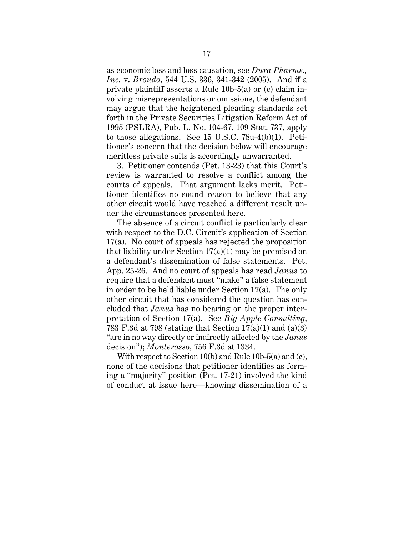as economic loss and loss causation, see *Dura Pharms., Inc.* v. *Broudo*, 544 U.S. 336, 341-342 (2005). And if a private plaintiff asserts a Rule 10b-5(a) or (c) claim involving misrepresentations or omissions, the defendant may argue that the heightened pleading standards set forth in the Private Securities Litigation Reform Act of 1995 (PSLRA), Pub. L. No. 104-67, 109 Stat. 737, apply to those allegations. See 15 U.S.C. 78u-4(b)(1). Petitioner's concern that the decision below will encourage meritless private suits is accordingly unwarranted.

3. Petitioner contends (Pet. 13-23) that this Court's review is warranted to resolve a conflict among the courts of appeals. That argument lacks merit. Petitioner identifies no sound reason to believe that any other circuit would have reached a different result under the circumstances presented here.

The absence of a circuit conflict is particularly clear with respect to the D.C. Circuit's application of Section 17(a). No court of appeals has rejected the proposition that liability under Section 17(a)(1) may be premised on a defendant's dissemination of false statements. Pet. App. 25-26. And no court of appeals has read *Janus* to require that a defendant must "make" a false statement in order to be held liable under Section 17(a). The only other circuit that has considered the question has concluded that *Janus* has no bearing on the proper interpretation of Section 17(a). See *Big Apple Consulting*, 783 F.3d at 798 (stating that Section 17(a)(1) and (a)(3) "are in no way directly or indirectly affected by the *Janus* decision"); *Monterosso*, 756 F.3d at 1334.

With respect to Section 10(b) and Rule 10b-5(a) and (c), none of the decisions that petitioner identifies as forming a "majority" position (Pet. 17-21) involved the kind of conduct at issue here—knowing dissemination of a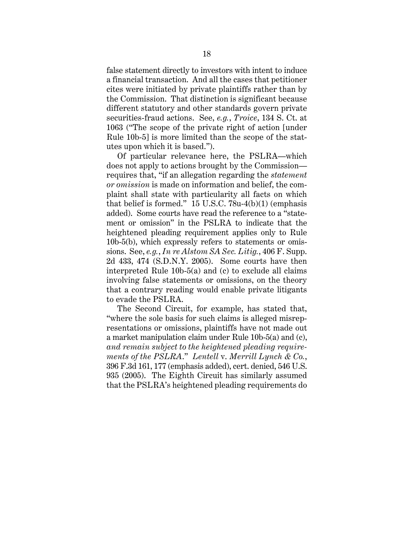false statement directly to investors with intent to induce a financial transaction. And all the cases that petitioner cites were initiated by private plaintiffs rather than by the Commission. That distinction is significant because different statutory and other standards govern private securities-fraud actions. See, *e.g.*, *Troice*, 134 S. Ct. at 1063 ("The scope of the private right of action [under Rule 10b-5] is more limited than the scope of the statutes upon which it is based.").

Of particular relevance here, the PSLRA—which does not apply to actions brought by the Commission requires that, "if an allegation regarding the *statement or omission* is made on information and belief, the complaint shall state with particularity all facts on which that belief is formed."  $15$  U.S.C. 78u-4(b)(1) (emphasis added). Some courts have read the reference to a "statement or omission" in the PSLRA to indicate that the heightened pleading requirement applies only to Rule 10b-5(b), which expressly refers to statements or omissions. See, *e.g.*, *In re Alstom SA Sec. Litig.*, 406 F. Supp. 2d 433, 474 (S.D.N.Y. 2005). Some courts have then interpreted Rule 10b-5(a) and (c) to exclude all claims involving false statements or omissions, on the theory that a contrary reading would enable private litigants to evade the PSLRA.

The Second Circuit, for example, has stated that, "where the sole basis for such claims is alleged misrepresentations or omissions, plaintiffs have not made out a market manipulation claim under Rule 10b-5(a) and (c), *and remain subject to the heightened pleading requirements of the PSLRA*." *Lentell* v. *Merrill Lynch & Co.*, 396 F.3d 161, 177 (emphasis added), cert. denied, 546 U.S. 935 (2005). The Eighth Circuit has similarly assumed that the PSLRA's heightened pleading requirements do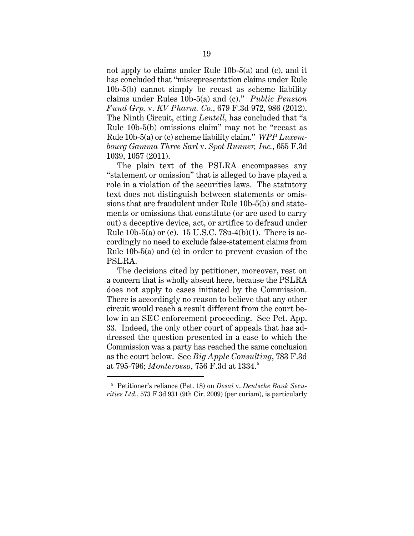not apply to claims under Rule 10b-5(a) and (c), and it has concluded that "misrepresentation claims under Rule 10b-5(b) cannot simply be recast as scheme liability claims under Rules 10b-5(a) and (c)." *Public Pension Fund Grp.* v. *KV Pharm. Co.*, 679 F.3d 972, 986 (2012). The Ninth Circuit, citing *Lentell*, has concluded that "a Rule 10b-5(b) omissions claim" may not be "recast as Rule 10b-5(a) or (c) scheme liability claim." *WPP Luxembourg Gamma Three Sarl* v. *Spot Runner, Inc.*, 655 F.3d 1039, 1057 (2011).

The plain text of the PSLRA encompasses any "statement or omission" that is alleged to have played a role in a violation of the securities laws. The statutory text does not distinguish between statements or omissions that are fraudulent under Rule 10b-5(b) and statements or omissions that constitute (or are used to carry out) a deceptive device, act, or artifice to defraud under Rule 10b-5(a) or (c). 15 U.S.C. 78u-4(b)(1). There is accordingly no need to exclude false-statement claims from Rule 10b-5(a) and (c) in order to prevent evasion of the PSLRA.

The decisions cited by petitioner, moreover, rest on a concern that is wholly absent here, because the PSLRA does not apply to cases initiated by the Commission. There is accordingly no reason to believe that any other circuit would reach a result different from the court below in an SEC enforcement proceeding. See Pet. App. 33. Indeed, the only other court of appeals that has addressed the question presented in a case to which the Commission was a party has reached the same conclusion as the court below. See *Big Apple Consulting*, 783 F.3d at 795-796; *Monterosso*, 756 F.3d at 1334. 5

<sup>5</sup> Petitioner's reliance (Pet. 18) on *Desai* v. *Deutsche Bank Securities Ltd.*, 573 F.3d 931 (9th Cir. 2009) (per curiam), is particularly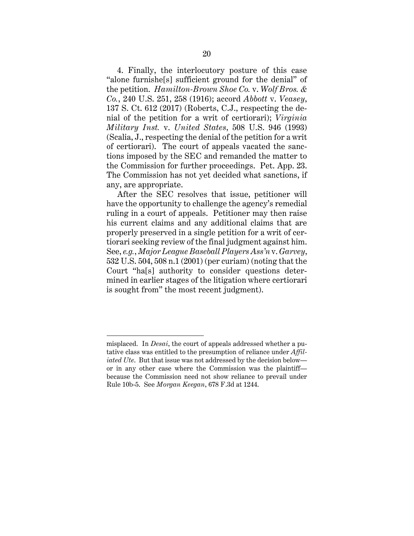4. Finally, the interlocutory posture of this case "alone furnishe[s] sufficient ground for the denial" of the petition. *Hamilton-Brown Shoe Co.* v. *Wolf Bros. & Co.*, 240 U.S. 251, 258 (1916); accord *Abbott* v. *Veasey*, 137 S. Ct. 612 (2017) (Roberts, C.J., respecting the denial of the petition for a writ of certiorari); *Virginia Military Inst.* v. *United States*, 508 U.S. 946 (1993) (Scalia, J., respecting the denial of the petition for a writ of certiorari). The court of appeals vacated the sanctions imposed by the SEC and remanded the matter to the Commission for further proceedings. Pet. App. 23. The Commission has not yet decided what sanctions, if any, are appropriate.

After the SEC resolves that issue, petitioner will have the opportunity to challenge the agency's remedial ruling in a court of appeals. Petitioner may then raise his current claims and any additional claims that are properly preserved in a single petition for a writ of certiorari seeking review of the final judgment against him. See, *e.g.*, *Major League Baseball Players Ass'n* v. *Garvey*, 532 U.S. 504, 508 n.1 (2001) (per curiam) (noting that the Court "ha[s] authority to consider questions determined in earlier stages of the litigation where certiorari is sought from" the most recent judgment).

misplaced. In *Desai*, the court of appeals addressed whether a putative class was entitled to the presumption of reliance under *Affiliated Ute*. But that issue was not addressed by the decision below or in any other case where the Commission was the plaintiff because the Commission need not show reliance to prevail under Rule 10b-5. See *Morgan Keegan*, 678 F.3d at 1244.